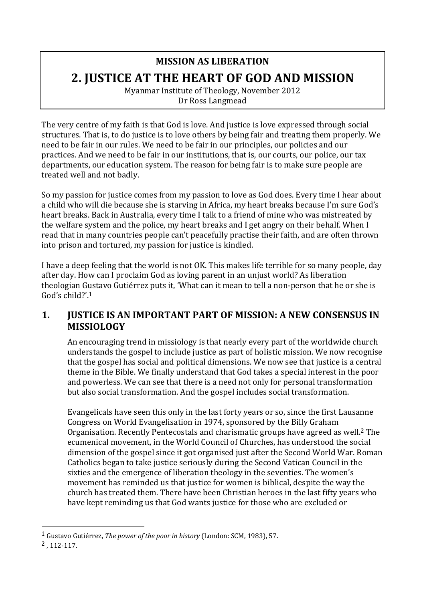# **MISSION AS LIBERATION 2. JUSTICE AT THE HEART OF GOD AND MISSION**

Myanmar Institute of Theology, November 2012 Dr Ross Langmead

The very centre of my faith is that God is love. And justice is love expressed through social structures. That is, to do justice is to love others by being fair and treating them properly. We need to be fair in our rules. We need to be fair in our principles, our policies and our practices. And we need to be fair in our institutions, that is, our courts, our police, our tax departments, our education system. The reason for being fair is to make sure people are treated well and not badly.

So my passion for justice comes from my passion to love as God does. Every time I hear about a child who will die because she is starving in Africa, my heart breaks because I'm sure God's heart breaks. Back in Australia, every time I talk to a friend of mine who was mistreated by the welfare system and the police, my heart breaks and I get angry on their behalf. When I read that in many countries people can't peacefully practise their faith, and are often thrown into prison and tortured, my passion for justice is kindled.

I have a deep feeling that the world is not OK. This makes life terrible for so many people, day after day. How can I proclaim God as loving parent in an unjust world? As liberation theologian Gustavo Gutiérrez puts it, 'What can it mean to tell a non-person that he or she is God's child?'.<sup>1</sup>

# **1. JUSTICE IS AN IMPORTANT PART OF MISSION: A NEW CONSENSUS IN MISSIOLOGY**

An encouraging trend in missiology is that nearly every part of the worldwide church understands the gospel to include justice as part of holistic mission. We now recognise that the gospel has social and political dimensions. We now see that justice is a central theme in the Bible. We finally understand that God takes a special interest in the poor and powerless. We can see that there is a need not only for personal transformation but also social transformation. And the gospel includes social transformation.

Evangelicals have seen this only in the last forty years or so, since the first Lausanne Congress on World Evangelisation in 1974, sponsored by the Billy Graham Organisation. Recently Pentecostals and charismatic groups have agreed as well.<sup>2</sup> The ecumenical movement, in the World Council of Churches, has understood the social dimension of the gospel since it got organised just after the Second World War. Roman Catholics began to take justice seriously during the Second Vatican Council in the sixties and the emergence of liberation theology in the seventies. The women's movement has reminded us that justice for women is biblical, despite the way the church has treated them. There have been Christian heroes in the last fifty years who have kept reminding us that God wants justice for those who are excluded or

<sup>&</sup>lt;sup>1</sup> Gustavo Gutiérrez, *The power of the poor in history* (London: SCM, 1983), 57.

<sup>2</sup> , 112-117.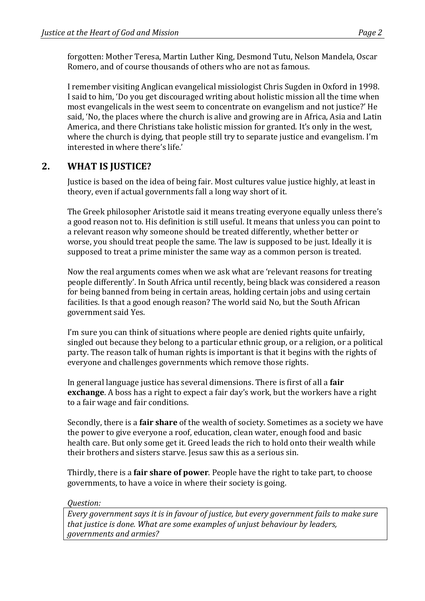forgotten: Mother Teresa, Martin Luther King, Desmond Tutu, Nelson Mandela, Oscar Romero, and of course thousands of others who are not as famous.

I remember visiting Anglican evangelical missiologist Chris Sugden in Oxford in 1998. I said to him, 'Do you get discouraged writing about holistic mission all the time when most evangelicals in the west seem to concentrate on evangelism and not justice?' He said, 'No, the places where the church is alive and growing are in Africa, Asia and Latin America, and there Christians take holistic mission for granted. It's only in the west, where the church is dying, that people still try to separate justice and evangelism. I'm interested in where there's life.'

# 2. **WHAT IS JUSTICE?**

Justice is based on the idea of being fair. Most cultures value justice highly, at least in theory, even if actual governments fall a long way short of it.

The Greek philosopher Aristotle said it means treating everyone equally unless there's a good reason not to. His definition is still useful. It means that unless you can point to a relevant reason why someone should be treated differently, whether better or worse, you should treat people the same. The law is supposed to be just. Ideally it is supposed to treat a prime minister the same way as a common person is treated.

Now the real arguments comes when we ask what are 'relevant reasons for treating people differently'. In South Africa until recently, being black was considered a reason for being banned from being in certain areas, holding certain jobs and using certain facilities. Is that a good enough reason? The world said No, but the South African government said Yes.

I'm sure you can think of situations where people are denied rights quite unfairly, singled out because they belong to a particular ethnic group, or a religion, or a political party. The reason talk of human rights is important is that it begins with the rights of everyone and challenges governments which remove those rights.

In general language justice has several dimensions. There is first of all a **fair exchange**. A boss has a right to expect a fair day's work, but the workers have a right to a fair wage and fair conditions.

Secondly, there is a **fair share** of the wealth of society. Sometimes as a society we have the power to give everyone a roof, education, clean water, enough food and basic health care. But only some get it. Greed leads the rich to hold onto their wealth while their brothers and sisters starve. Jesus saw this as a serious sin.

Thirdly, there is a **fair share of power**. People have the right to take part, to choose governments, to have a voice in where their society is going.

#### *Question:*

*Every government says it is in favour of justice, but every government fails to make sure that justice is done. What are some examples of unjust behaviour by leaders, governments and armies?*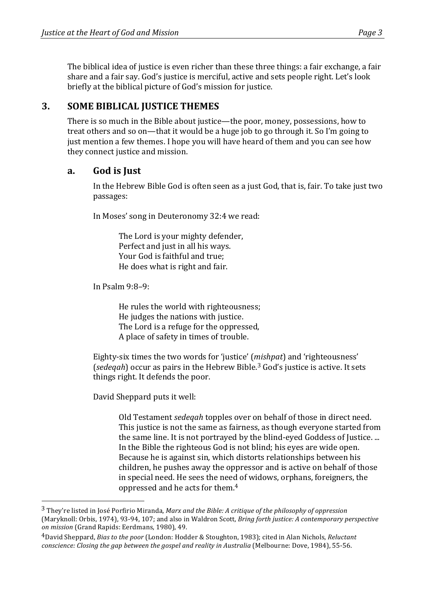The biblical idea of justice is even richer than these three things: a fair exchange, a fair share and a fair say. God's justice is merciful, active and sets people right. Let's look briefly at the biblical picture of God's mission for justice.

# **3. SOME BIBLICAL JUSTICE THEMES**

There is so much in the Bible about justice—the poor, money, possessions, how to treat others and so on—that it would be a huge job to go through it. So I'm going to just mention a few themes. I hope you will have heard of them and you can see how they connect justice and mission.

### **a. God is Just**

In the Hebrew Bible God is often seen as a just God, that is, fair. To take just two passages:

In Moses' song in Deuteronomy 32:4 we read:

The Lord is your mighty defender, Perfect and just in all his ways. Your God is faithful and true: He does what is right and fair.

In Psalm  $9:8-9$ :

 

He rules the world with righteousness; He judges the nations with justice. The Lord is a refuge for the oppressed, A place of safety in times of trouble.

Eighty-six times the two words for 'justice' (*mishpat*) and 'righteousness' (*sedeqah*) occur as pairs in the Hebrew Bible.<sup>3</sup> God's justice is active. It sets things right. It defends the poor.

David Sheppard puts it well:

Old Testament *sedeqah* topples over on behalf of those in direct need. This justice is not the same as fairness, as though everyone started from the same line. It is not portrayed by the blind-eyed Goddess of Justice. ... In the Bible the righteous God is not blind; his eyes are wide open. Because he is against sin, which distorts relationships between his children, he pushes away the oppressor and is active on behalf of those in special need. He sees the need of widows, orphans, foreigners, the oppressed and he acts for them.<sup>4</sup>

<sup>&</sup>lt;sup>3</sup> They're listed in José Porfirio Miranda, *Marx and the Bible: A critique of the philosophy of oppression* (Maryknoll: Orbis, 1974), 93-94, 107; and also in Waldron Scott, *Bring forth justice: A contemporary perspective on mission* (Grand Rapids: Eerdmans, 1980), 49.

<sup>&</sup>lt;sup>4</sup>David Sheppard, *Bias to the poor* (London: Hodder & Stoughton, 1983); cited in Alan Nichols, *Reluctant conscience: Closing the gap between the gospel and reality in Australia* (Melbourne: Dove, 1984), 55-56.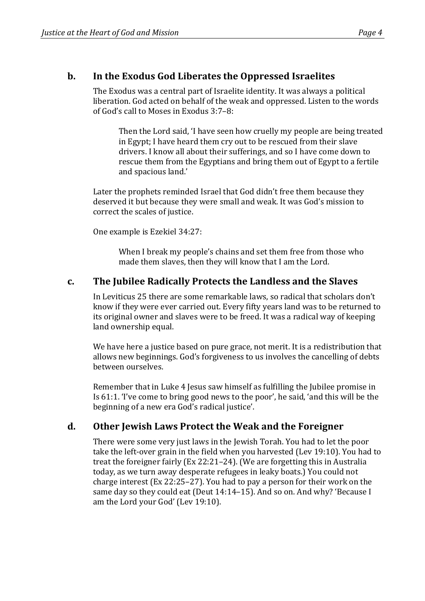# **b.** In the Exodus God Liberates the Oppressed Israelites

The Exodus was a central part of Israelite identity. It was always a political liberation. God acted on behalf of the weak and oppressed. Listen to the words of God's call to Moses in Exodus  $3:7-8$ :

Then the Lord said, 'I have seen how cruelly my people are being treated in Egypt; I have heard them cry out to be rescued from their slave drivers. I know all about their sufferings, and so I have come down to rescue them from the Egyptians and bring them out of Egypt to a fertile and spacious land.'

Later the prophets reminded Israel that God didn't free them because they deserved it but because they were small and weak. It was God's mission to correct the scales of justice.

One example is Ezekiel 34:27:

When I break my people's chains and set them free from those who made them slaves, then they will know that I am the Lord.

# c. The Jubilee Radically Protects the Landless and the Slaves

In Leviticus 25 there are some remarkable laws, so radical that scholars don't know if they were ever carried out. Every fifty years land was to be returned to its original owner and slaves were to be freed. It was a radical way of keeping land ownership equal.

We have here a justice based on pure grace, not merit. It is a redistribution that allows new beginnings. God's forgiveness to us involves the cancelling of debts between ourselves.

Remember that in Luke 4 Jesus saw himself as fulfilling the Jubilee promise in Is  $61:1$ . Tve come to bring good news to the poor', he said, 'and this will be the beginning of a new era God's radical justice'.

# d. Other Jewish Laws Protect the Weak and the Foreigner

There were some very just laws in the Jewish Torah. You had to let the poor take the left-over grain in the field when you harvested (Lev 19:10). You had to treat the foreigner fairly  $(Ex 22:21-24)$ . (We are forgetting this in Australia today, as we turn away desperate refugees in leaky boats.) You could not charge interest  $(Ex 22:25-27)$ . You had to pay a person for their work on the same day so they could eat (Deut 14:14-15). And so on. And why? 'Because I am the Lord your God' (Lev 19:10).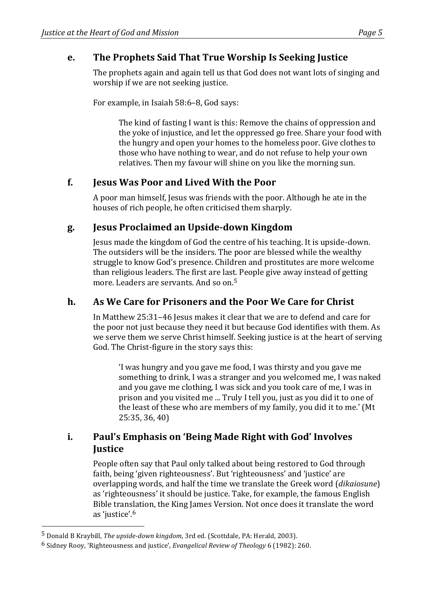# **e.** The Prophets Said That True Worship Is Seeking Justice

The prophets again and again tell us that God does not want lots of singing and worship if we are not seeking justice.

For example, in Isaiah 58:6-8, God says:

The kind of fasting I want is this: Remove the chains of oppression and the yoke of injustice, and let the oppressed go free. Share your food with the hungry and open your homes to the homeless poor. Give clothes to those who have nothing to wear, and do not refuse to help your own relatives. Then my favour will shine on you like the morning sun.

# **f. Jesus Was Poor and Lived With the Poor**

A poor man himself, Jesus was friends with the poor. Although he ate in the houses of rich people, he often criticised them sharply.

# **g. Jesus Proclaimed an Upside-down Kingdom**

Jesus made the kingdom of God the centre of his teaching. It is upside-down. The outsiders will be the insiders. The poor are blessed while the wealthy struggle to know God's presence. Children and prostitutes are more welcome than religious leaders. The first are last. People give away instead of getting more. Leaders are servants. And so on.<sup>5</sup>

### **h. As We Care for Prisoners and the Poor We Care for Christ**

In Matthew 25:31-46 Jesus makes it clear that we are to defend and care for the poor not just because they need it but because God identifies with them. As we serve them we serve Christ himself. Seeking justice is at the heart of serving God. The Christ-figure in the story says this:

I was hungry and you gave me food, I was thirsty and you gave me something to drink, I was a stranger and you welcomed me, I was naked and you gave me clothing, I was sick and you took care of me, I was in prison and you visited me ... Truly I tell you, just as you did it to one of the least of these who are members of my family, you did it to me.' (Mt 25:35, 36, 40)

# **i.** Paul's Emphasis on 'Being Made Right with God' Involves **Justice**

People often say that Paul only talked about being restored to God through faith, being 'given righteousness'. But 'righteousness' and 'justice' are overlapping words, and half the time we translate the Greek word (*dikaiosune*) as 'righteousness' it should be justice. Take, for example, the famous English Bible translation, the King James Version. Not once does it translate the word as 'justice'.<sup>6</sup>

<sup>&</sup>lt;sup>5</sup> Donald B Kraybill, *The upside-down kingdom*, 3rd ed. (Scottdale, PA: Herald, 2003).

<sup>&</sup>lt;sup>6</sup> Sidney Rooy, 'Righteousness and justice', *Evangelical Review of Theology* 6 (1982): 260.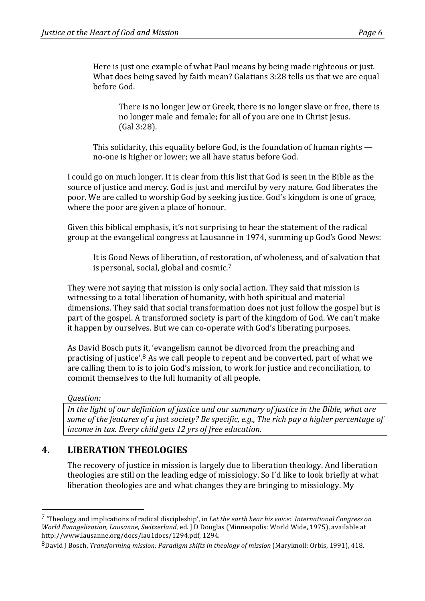Here is just one example of what Paul means by being made righteous or just. What does being saved by faith mean? Galatians 3:28 tells us that we are equal before God.

There is no longer Jew or Greek, there is no longer slave or free, there is no longer male and female; for all of you are one in Christ Jesus. (Gal 3:28). 

This solidarity, this equality before God, is the foundation of human rights  $$ no-one is higher or lower; we all have status before God.

I could go on much longer. It is clear from this list that God is seen in the Bible as the source of justice and mercy. God is just and merciful by very nature. God liberates the poor. We are called to worship God by seeking justice. God's kingdom is one of grace, where the poor are given a place of honour.

Given this biblical emphasis, it's not surprising to hear the statement of the radical group at the evangelical congress at Lausanne in 1974, summing up God's Good News:

It is Good News of liberation, of restoration, of wholeness, and of salvation that is personal, social, global and cosmic. $7$ 

They were not saying that mission is only social action. They said that mission is witnessing to a total liberation of humanity, with both spiritual and material dimensions. They said that social transformation does not just follow the gospel but is part of the gospel. A transformed society is part of the kingdom of God. We can't make it happen by ourselves. But we can co-operate with God's liberating purposes.

As David Bosch puts it, 'evangelism cannot be divorced from the preaching and practising of justice'.<sup>8</sup> As we call people to repent and be converted, part of what we are calling them to is to join God's mission, to work for justice and reconciliation, to commit themselves to the full humanity of all people.

#### *Question:*

 

In the light of our definition of justice and our summary of justice in the Bible, what are *some of the features of a just society? Be specific, e.g., The rich pay a higher percentage of income in tax. Every child gets 12 yrs of free education.* 

# **4. LIBERATION THEOLOGIES**

The recovery of justice in mission is largely due to liberation theology. And liberation theologies are still on the leading edge of missiology. So I'd like to look briefly at what liberation theologies are and what changes they are bringing to missiology. My

<sup>&</sup>lt;sup>7</sup> 'Theology and implications of radical discipleship', in *Let the earth hear his voice: International Congress on World Evangelization, Lausanne, Switzerland, ed.* J D Douglas (Minneapolis: World Wide, 1975), available at http://www.lausanne.org/docs/lau1docs/1294.pdf, 1294.

<sup>&</sup>lt;sup>8</sup>David J Bosch, *Transforming mission: Paradigm shifts in theology of mission* (Maryknoll: Orbis, 1991), 418.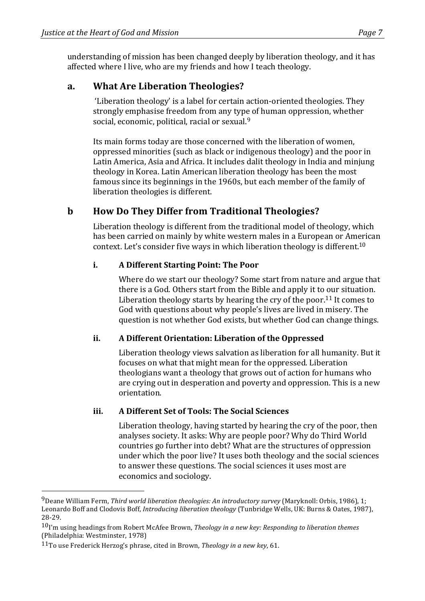understanding of mission has been changed deeply by liberation theology, and it has affected where I live, who are my friends and how I teach theology.

# **a. What Are Liberation Theologies?**

'Liberation theology' is a label for certain action-oriented theologies. They strongly emphasise freedom from any type of human oppression, whether social, economic, political, racial or sexual. $9$ 

Its main forms today are those concerned with the liberation of women, oppressed minorities (such as black or indigenous theology) and the poor in Latin America, Asia and Africa. It includes dalit theology in India and minjung theology in Korea. Latin American liberation theology has been the most famous since its beginnings in the 1960s, but each member of the family of liberation theologies is different.

# **b How Do They Differ from Traditional Theologies?**

Liberation theology is different from the traditional model of theology, which has been carried on mainly by white western males in a European or American context. Let's consider five ways in which liberation theology is different.<sup>10</sup>

### **i. A Different Starting Point: The Poor**

Where do we start our theology? Some start from nature and argue that there is a God. Others start from the Bible and apply it to our situation. Liberation theology starts by hearing the cry of the poor.<sup>11</sup> It comes to God with questions about why people's lives are lived in misery. The question is not whether God exists, but whether God can change things.

### **ii. A Different Orientation: Liberation of the Oppressed**

Liberation theology views salvation as liberation for all humanity. But it focuses on what that might mean for the oppressed. Liberation theologians want a theology that grows out of action for humans who are crying out in desperation and poverty and oppression. This is a new orientation.

### **iii. A Different Set of Tools: The Social Sciences**

Liberation theology, having started by hearing the cry of the poor, then analyses society. It asks: Why are people poor? Why do Third World countries go further into debt? What are the structures of oppression under which the poor live? It uses both theology and the social sciences to answer these questions. The social sciences it uses most are economics and sociology.

<sup>&</sup>lt;sup>9</sup>Deane William Ferm, *Third world liberation theologies: An introductory survey* (Maryknoll: Orbis, 1986), 1; Leonardo Boff and Clodovis Boff, *Introducing liberation theology* (Tunbridge Wells, UK: Burns & Oates, 1987), 28-29.

 $10$ <sup>T</sup>m using headings from Robert McAfee Brown, *Theology in a new key: Responding to liberation themes* (Philadelphia: Westminster, 1978)

<sup>11</sup>To use Frederick Herzog's phrase, cited in Brown, Theology in a new key, 61.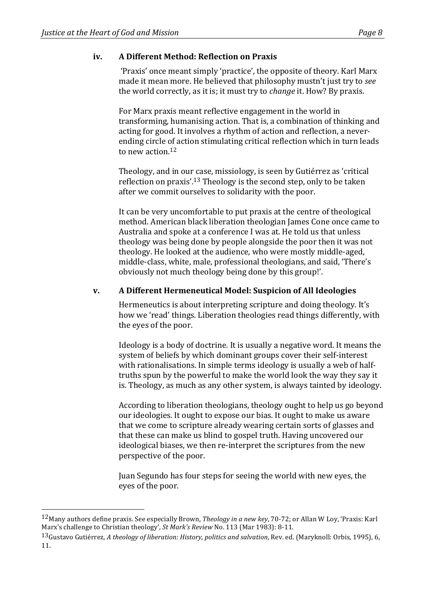### **iv. A Different Method: Reflection on Praxis**

'Praxis' once meant simply 'practice', the opposite of theory. Karl Marx made it mean more. He believed that philosophy mustn't just try to *see* the world correctly, as it is; it must try to *change* it. How? By praxis.

For Marx praxis meant reflective engagement in the world in transforming, humanising action. That is, a combination of thinking and acting for good. It involves a rhythm of action and reflection, a neverending circle of action stimulating critical reflection which in turn leads to new action. $12$ 

Theology, and in our case, missiology, is seen by Gutiérrez as 'critical reflection on praxis'.<sup>13</sup> Theology is the second step, only to be taken after we commit ourselves to solidarity with the poor.

It can be very uncomfortable to put praxis at the centre of theological method. American black liberation theologian James Cone once came to Australia and spoke at a conference I was at. He told us that unless theology was being done by people alongside the poor then it was not theology. He looked at the audience, who were mostly middle-aged, middle-class, white, male, professional theologians, and said, 'There's obviously not much theology being done by this group!'.

#### **v. A Different Hermeneutical Model: Suspicion of All Ideologies**

Hermeneutics is about interpreting scripture and doing theology. It's how we 'read' things. Liberation theologies read things differently, with the eyes of the poor.

Ideology is a body of doctrine. It is usually a negative word. It means the system of beliefs by which dominant groups cover their self-interest with rationalisations. In simple terms ideology is usually a web of halftruths spun by the powerful to make the world look the way they say it is. Theology, as much as any other system, is always tainted by ideology.

According to liberation theologians, theology ought to help us go beyond our ideologies. It ought to expose our bias. It ought to make us aware that we come to scripture already wearing certain sorts of glasses and that these can make us blind to gospel truth. Having uncovered our ideological biases, we then re-interpret the scriptures from the new perspective of the poor.

Juan Segundo has four steps for seeing the world with new eyes, the eyes of the poor.

<sup>12</sup>Many authors define praxis. See especially Brown, *Theology in a new key*, 70-72; or Allan W Loy, 'Praxis: Karl Marx's challenge to Christian theology', *St Mark's Review* No. 113 (Mar 1983): 8-11.

<sup>13</sup>Gustavo Gutiérrez, *A theology of liberation: History, politics and salvation*, Rev. ed. (Maryknoll: Orbis, 1995), 6, 11.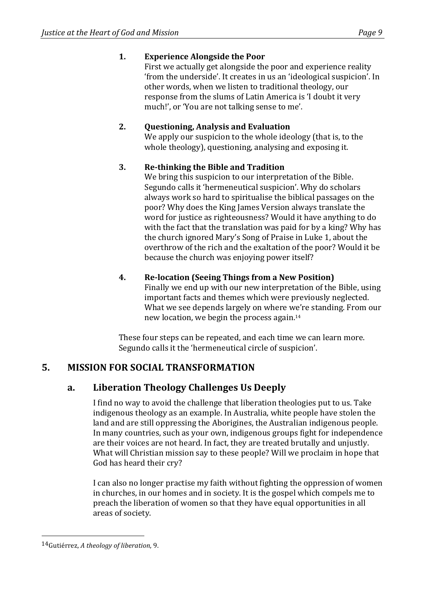# **1. Experience Alongside the Poor**

First we actually get alongside the poor and experience reality 'from the underside'. It creates in us an 'ideological suspicion'. In other words, when we listen to traditional theology, our response from the slums of Latin America is 'I doubt it very much!', or 'You are not talking sense to me'.

### 2. **Questioning, Analysis and Evaluation**

We apply our suspicion to the whole ideology (that is, to the whole theology), questioning, analysing and exposing it.

### **3.** Re-thinking the Bible and Tradition

We bring this suspicion to our interpretation of the Bible. Segundo calls it 'hermeneutical suspicion'. Why do scholars always work so hard to spiritualise the biblical passages on the poor? Why does the King James Version always translate the word for justice as righteousness? Would it have anything to do with the fact that the translation was paid for by a king? Why has the church ignored Mary's Song of Praise in Luke 1, about the overthrow of the rich and the exaltation of the poor? Would it be because the church was enjoying power itself?

# **4. Re-location (Seeing Things from a New Position)**

Finally we end up with our new interpretation of the Bible, using important facts and themes which were previously neglected. What we see depends largely on where we're standing. From our new location, we begin the process again. $14$ 

These four steps can be repeated, and each time we can learn more. Segundo calls it the 'hermeneutical circle of suspicion'.

# **5. MISSION FOR SOCIAL TRANSFORMATION**

# **a. Liberation Theology Challenges Us Deeply**

I find no way to avoid the challenge that liberation theologies put to us. Take indigenous theology as an example. In Australia, white people have stolen the land and are still oppressing the Aborigines, the Australian indigenous people. In many countries, such as your own, indigenous groups fight for independence are their voices are not heard. In fact, they are treated brutally and unjustly. What will Christian mission say to these people? Will we proclaim in hope that God has heard their cry?

I can also no longer practise my faith without fighting the oppression of women in churches, in our homes and in society. It is the gospel which compels me to preach the liberation of women so that they have equal opportunities in all areas of society.

<sup>14&</sup>lt;sub>Gutiérrez, A theology of liberation, 9.</sub>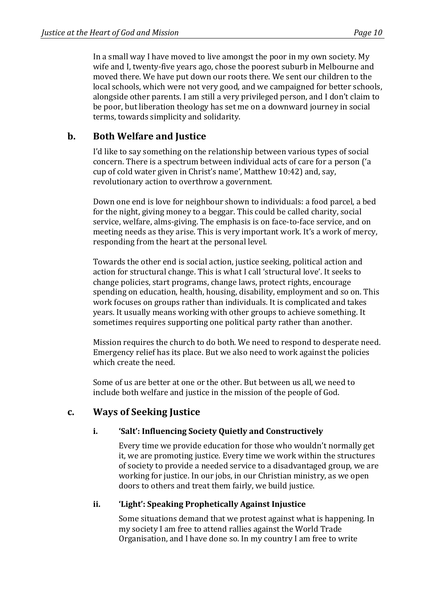In a small way I have moved to live amongst the poor in my own society. My wife and I, twenty-five years ago, chose the poorest suburb in Melbourne and moved there. We have put down our roots there. We sent our children to the local schools, which were not very good, and we campaigned for better schools, alongside other parents. I am still a very privileged person, and I don't claim to be poor, but liberation theology has set me on a downward journey in social terms, towards simplicity and solidarity.

### **b.** Both Welfare and Justice

I'd like to say something on the relationship between various types of social concern. There is a spectrum between individual acts of care for a person ('a cup of cold water given in Christ's name', Matthew 10:42) and, say, revolutionary action to overthrow a government.

Down one end is love for neighbour shown to individuals: a food parcel, a bed for the night, giving money to a beggar. This could be called charity, social service, welfare, alms-giving. The emphasis is on face-to-face service, and on meeting needs as they arise. This is very important work. It's a work of mercy, responding from the heart at the personal level.

Towards the other end is social action, justice seeking, political action and action for structural change. This is what I call 'structural love'. It seeks to change policies, start programs, change laws, protect rights, encourage spending on education, health, housing, disability, employment and so on. This work focuses on groups rather than individuals. It is complicated and takes years. It usually means working with other groups to achieve something. It sometimes requires supporting one political party rather than another.

Mission requires the church to do both. We need to respond to desperate need. Emergency relief has its place. But we also need to work against the policies which create the need.

Some of us are better at one or the other. But between us all, we need to include both welfare and justice in the mission of the people of God.

### **c. Ways of Seeking Justice**

### **i. 'Salt':** Influencing Society Quietly and Constructively

Every time we provide education for those who wouldn't normally get it, we are promoting justice. Every time we work within the structures of society to provide a needed service to a disadvantaged group, we are working for justice. In our jobs, in our Christian ministry, as we open doors to others and treat them fairly, we build justice.

### **ii. 'Light': Speaking Prophetically Against Injustice**

Some situations demand that we protest against what is happening. In my society I am free to attend rallies against the World Trade Organisation, and I have done so. In my country I am free to write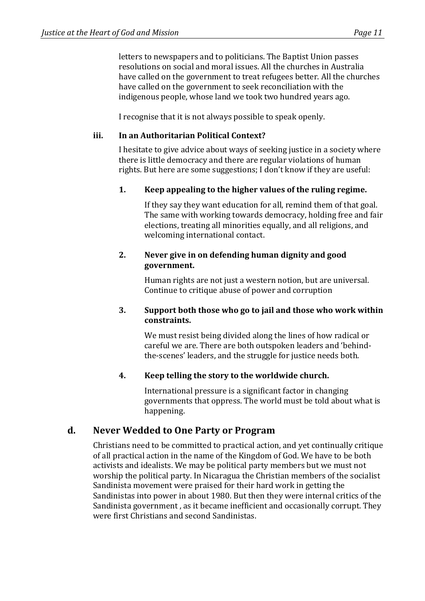letters to newspapers and to politicians. The Baptist Union passes resolutions on social and moral issues. All the churches in Australia have called on the government to treat refugees better. All the churches have called on the government to seek reconciliation with the indigenous people, whose land we took two hundred years ago.

I recognise that it is not always possible to speak openly.

#### **iii.** In an Authoritarian Political Context?

I hesitate to give advice about ways of seeking justice in a society where there is little democracy and there are regular violations of human rights. But here are some suggestions; I don't know if they are useful:

### **1. Keep appealing to the higher values of the ruling regime.**

If they say they want education for all, remind them of that goal. The same with working towards democracy, holding free and fair elections, treating all minorities equally, and all religions, and welcoming international contact.

#### **2.** Never give in on defending human dignity and good **government.**

Human rights are not just a western notion, but are universal. Continue to critique abuse of power and corruption

#### **3.** Support both those who go to jail and those who work within **constraints.**

We must resist being divided along the lines of how radical or careful we are. There are both outspoken leaders and 'behindthe-scenes' leaders, and the struggle for justice needs both.

### 4. **Keep telling the story to the worldwide church.**

International pressure is a significant factor in changing governments that oppress. The world must be told about what is happening.

### **d. Never Wedded to One Party or Program**

Christians need to be committed to practical action, and yet continually critique of all practical action in the name of the Kingdom of God. We have to be both activists and idealists. We may be political party members but we must not worship the political party. In Nicaragua the Christian members of the socialist Sandinista movement were praised for their hard work in getting the Sandinistas into power in about 1980. But then they were internal critics of the Sandinista government, as it became inefficient and occasionally corrupt. They were first Christians and second Sandinistas.